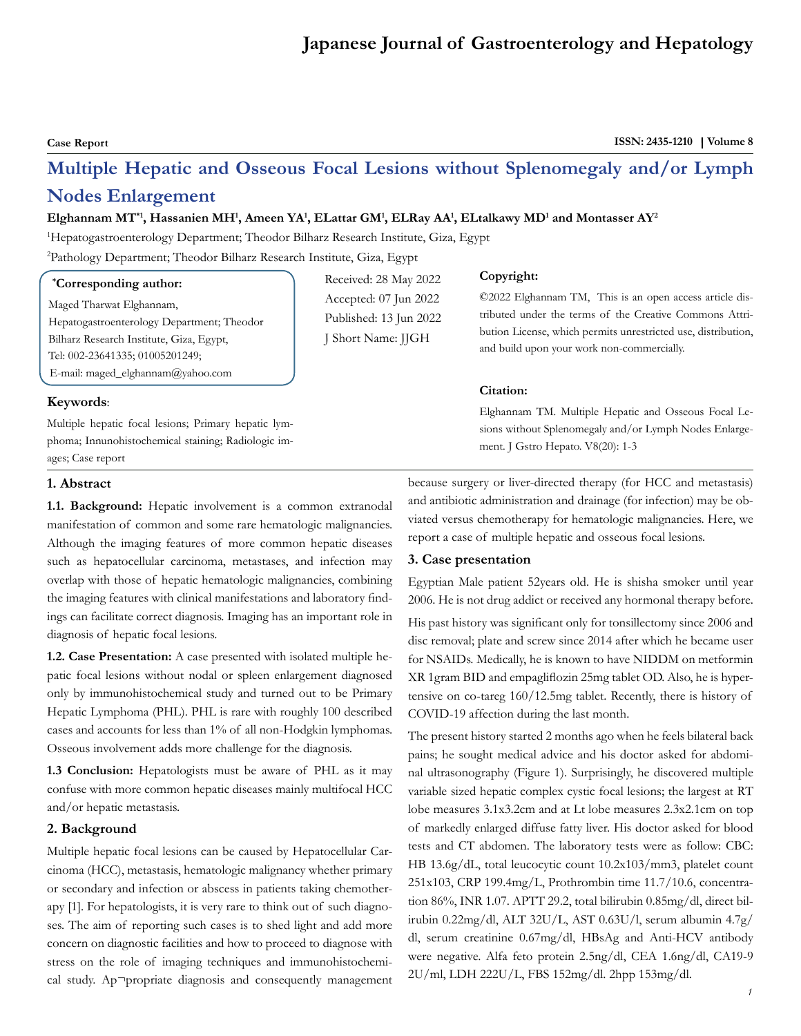# **Japanese Journal of Gastroenterology and Hepatology**

**Case Report** ISSN: 2435-1210 | Volume 8

# **Multiple Hepatic and Osseous Focal Lesions without Splenomegaly and/or Lymph Nodes Enlargement**

## ${\bf El}$ ghannam M ${\bf T}^{*1}$ , Hassanien MH<sup>1</sup>, Ameen YA<sup>1</sup>, ELattar GM<sup>1</sup>, ELRay AA<sup>1</sup>, ELtalkawy MD<sup>1</sup> and Montasser AY<sup>2</sup>

1 Hepatogastroenterology Department; Theodor Bilharz Research Institute, Giza, Egypt

2 Pathology Department; Theodor Bilharz Research Institute, Giza, Egypt

#### **\* Corresponding author:**

Maged Tharwat Elghannam, Hepatogastroenterology Department; Theodor Bilharz Research Institute, Giza, Egypt, Tel: 002-23641335; 01005201249; E-mail: maged\_elghannam@yahoo.com

Received: 28 May 2022 Accepted: 07 Jun 2022 Published: 13 Jun 2022 J Short Name: JJGH

#### **Copyright:**

©2022 Elghannam TM, This is an open access article distributed under the terms of the Creative Commons Attribution License, which permits unrestricted use, distribution, and build upon your work non-commercially.

Elghannam TM. Multiple Hepatic and Osseous Focal Lesions without Splenomegaly and/or Lymph Nodes Enlarge-

## **Citation:**

**Keywords**:

Multiple hepatic focal lesions; Primary hepatic lymphoma; Innunohistochemical staining; Radiologic images; Case report

#### **1. Abstract**

**1.1. Background:** Hepatic involvement is a common extranodal manifestation of common and some rare hematologic malignancies. Although the imaging features of more common hepatic diseases such as hepatocellular carcinoma, metastases, and infection may overlap with those of hepatic hematologic malignancies, combining the imaging features with clinical manifestations and laboratory findings can facilitate correct diagnosis. Imaging has an important role in diagnosis of hepatic focal lesions.

**1.2. Case Presentation:** A case presented with isolated multiple hepatic focal lesions without nodal or spleen enlargement diagnosed only by immunohistochemical study and turned out to be Primary Hepatic Lymphoma (PHL). PHL is rare with roughly 100 described cases and accounts for less than 1% of all non-Hodgkin lymphomas. Osseous involvement adds more challenge for the diagnosis.

**1.3 Conclusion:** Hepatologists must be aware of PHL as it may confuse with more common hepatic diseases mainly multifocal HCC and/or hepatic metastasis.

### **2. Background**

Multiple hepatic focal lesions can be caused by Hepatocellular Carcinoma (HCC), metastasis, hematologic malignancy whether primary or secondary and infection or abscess in patients taking chemotherapy [1]. For hepatologists, it is very rare to think out of such diagnoses. The aim of reporting such cases is to shed light and add more concern on diagnostic facilities and how to proceed to diagnose with stress on the role of imaging techniques and immunohistochemical study. Ap¬propriate diagnosis and consequently management because surgery or liver-directed therapy (for HCC and metastasis) and antibiotic administration and drainage (for infection) may be obviated versus chemotherapy for hematologic malignancies. Here, we report a case of multiple hepatic and osseous focal lesions.

ment. J Gstro Hepato. V8(20): 1-3

# **3. Case presentation**

Egyptian Male patient 52years old. He is shisha smoker until year 2006. He is not drug addict or received any hormonal therapy before.

His past history was significant only for tonsillectomy since 2006 and disc removal; plate and screw since 2014 after which he became user for NSAIDs. Medically, he is known to have NIDDM on metformin XR 1gram BID and empagliflozin 25mg tablet OD. Also, he is hypertensive on co-tareg 160/12.5mg tablet. Recently, there is history of COVID-19 affection during the last month.

The present history started 2 months ago when he feels bilateral back pains; he sought medical advice and his doctor asked for abdominal ultrasonography (Figure 1). Surprisingly, he discovered multiple variable sized hepatic complex cystic focal lesions; the largest at RT lobe measures 3.1x3.2cm and at Lt lobe measures 2.3x2.1cm on top of markedly enlarged diffuse fatty liver. His doctor asked for blood tests and CT abdomen. The laboratory tests were as follow: CBC: HB 13.6g/dL, total leucocytic count 10.2x103/mm3, platelet count 251x103, CRP 199.4mg/L, Prothrombin time 11.7/10.6, concentration 86%, INR 1.07. APTT 29.2, total bilirubin 0.85mg/dl, direct bilirubin 0.22mg/dl, ALT 32U/L, AST 0.63U/l, serum albumin 4.7g/ dl, serum creatinine 0.67mg/dl, HBsAg and Anti-HCV antibody were negative. Alfa feto protein 2.5ng/dl, CEA 1.6ng/dl, CA19-9 2U/ml, LDH 222U/L, FBS 152mg/dl. 2hpp 153mg/dl.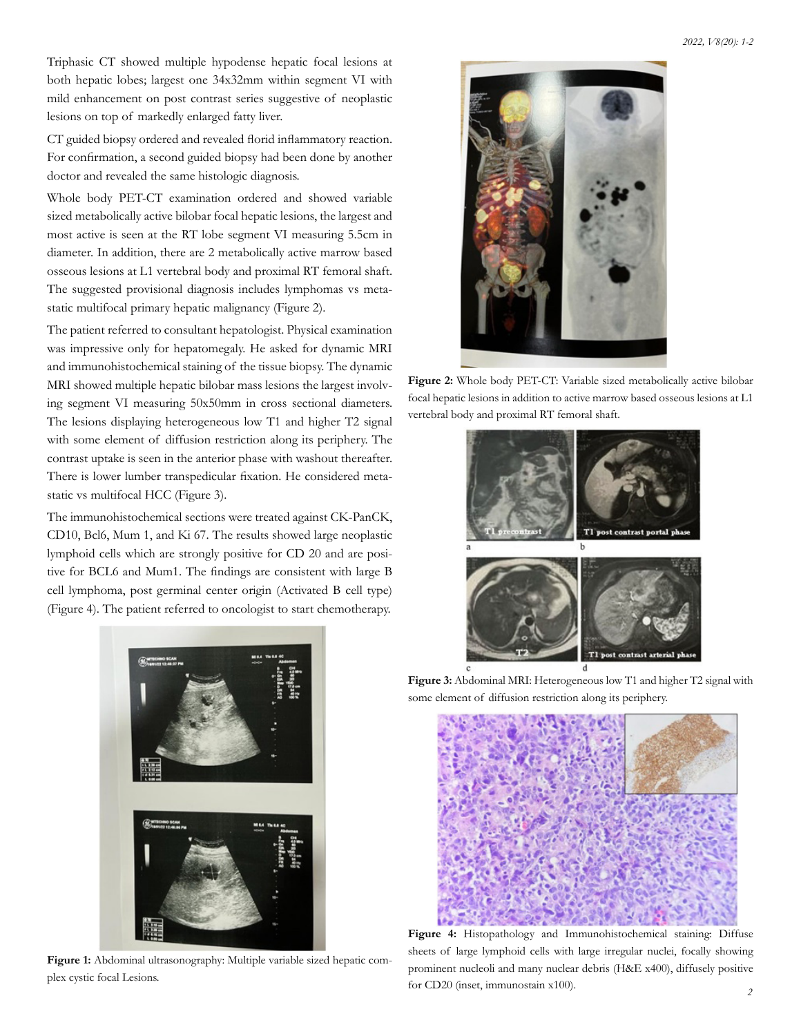Triphasic CT showed multiple hypodense hepatic focal lesions at both hepatic lobes; largest one 34x32mm within segment VI with mild enhancement on post contrast series suggestive of neoplastic lesions on top of markedly enlarged fatty liver.

CT guided biopsy ordered and revealed florid inflammatory reaction. For confirmation, a second guided biopsy had been done by another doctor and revealed the same histologic diagnosis.

Whole body PET-CT examination ordered and showed variable sized metabolically active bilobar focal hepatic lesions, the largest and most active is seen at the RT lobe segment VI measuring 5.5cm in diameter. In addition, there are 2 metabolically active marrow based osseous lesions at L1 vertebral body and proximal RT femoral shaft. The suggested provisional diagnosis includes lymphomas vs metastatic multifocal primary hepatic malignancy (Figure 2).

The patient referred to consultant hepatologist. Physical examination was impressive only for hepatomegaly. He asked for dynamic MRI and immunohistochemical staining of the tissue biopsy. The dynamic MRI showed multiple hepatic bilobar mass lesions the largest involving segment VI measuring 50x50mm in cross sectional diameters. The lesions displaying heterogeneous low T1 and higher T2 signal with some element of diffusion restriction along its periphery. The contrast uptake is seen in the anterior phase with washout thereafter. There is lower lumber transpedicular fixation. He considered metastatic vs multifocal HCC (Figure 3).

The immunohistochemical sections were treated against CK-PanCK, CD10, Bcl6, Mum 1, and Ki 67. The results showed large neoplastic lymphoid cells which are strongly positive for CD 20 and are positive for BCL6 and Mum1. The findings are consistent with large B cell lymphoma, post germinal center origin (Activated B cell type) (Figure 4). The patient referred to oncologist to start chemotherapy.



**Figure 1:** Abdominal ultrasonography: Multiple variable sized hepatic complex cystic focal Lesions.



**Figure 2:** Whole body PET-CT: Variable sized metabolically active bilobar focal hepatic lesions in addition to active marrow based osseous lesions at L1 vertebral body and proximal RT femoral shaft.



**Figure 3:** Abdominal MRI: Heterogeneous low T1 and higher T2 signal with some element of diffusion restriction along its periphery.



**Figure 4:** Histopathology and Immunohistochemical staining: Diffuse sheets of large lymphoid cells with large irregular nuclei, focally showing prominent nucleoli and many nuclear debris (H&E x400), diffusely positive for CD20 (inset, immunostain x100).